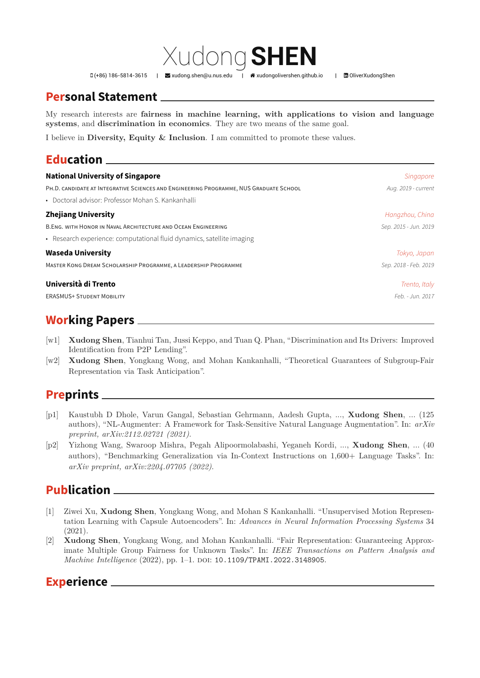D(+86) 186-5814-3615 | Maxudong.shen@u.nus.edu | 令xudongolivershen.github.io | 面OliverXudongShen

# **Personal Statement**

My research interests are **fairne[ss in machine lea](mailto:xudong.shen@u.nus.edu)rni[ng, with applicatio](http://xudongolivershen.github.io)ns t[o vision and](https://www.linkedin.com/in/OliverXudongShen) language systems**, and **discrimination in economics**. They are two means of the same goal.

Xudong**SHEN**

I believe in **Diversity, Equity & Inclusion**. I am committed to promote these values.

# **Education**

| <b>National University of Singapore</b>                                                | Singapore             |
|----------------------------------------------------------------------------------------|-----------------------|
| PH.D. CANDIDATE AT INTEGRATIVE SCIENCES AND ENGINEERING PROGRAMME, NUS GRADUATE SCHOOL | Aug. 2019 - current   |
| • Doctoral advisor: Professor Mohan S. Kankanhalli                                     |                       |
| <b>Zhejiang University</b>                                                             | Hangzhou, China       |
| B.ENG. WITH HONOR IN NAVAL ARCHITECTURE AND OCEAN ENGINEERING                          | Sep. 2015 - Jun. 2019 |
| • Research experience: computational fluid dynamics, satellite imaging                 |                       |
| <b>Waseda University</b>                                                               | Tokyo, Japan          |
| MASTER KONG DREAM SCHOLARSHIP PROGRAMME, A LEADERSHIP PROGRAMME                        | Sep. 2018 - Feb. 2019 |
| Università di Trento                                                                   | Trento, Italy         |
| <b>ERASMUS+ STUDENT MOBILITY</b>                                                       | Feb. - Jun. 2017      |
|                                                                                        |                       |

## **Working Papers**

- [w1] **Xudong Shen**, Tianhui Tan, Jussi Keppo, and Tuan Q. Phan, "Discrimination and Its Drivers: Improved Identification from P2P Lending".
- [w2] **Xudong Shen**, Yongkang Wong, and Mohan Kankanhalli, "Theoretical Guarantees of Subgroup-Fair Representation via Task Anticipation".

## **Preprints**

- [p1] Kaustubh D Dhole, Varun Gangal, Sebastian Gehrmann, Aadesh Gupta, ..., **Xudong Shen**, ... (125 authors), "NL-Augmenter: A Framework for Task-Sensitive Natural Language Augmentation". In: *arXiv preprint, arXiv:2112.02721 (2021)*.
- [p2] Yizhong Wang, Swaroop Mishra, Pegah Alipoormolabashi, Yeganeh Kordi, ..., **Xudong Shen**, ... (40 authors), "Benchmarking Generalization via In-Context Instructions on 1,600+ Language Tasks". In: *arXiv preprint, arXiv:2204.07705 (2022)*.

## **Publication**

- [1] Ziwei Xu, **Xudong Shen**, Yongkang Wong, and Mohan S Kankanhalli. "Unsupervised Motion Representation Learning with Capsule Autoencoders". In: *Advances in Neural Information Processing Systems* 34 (2021).
- [2] **Xudong Shen**, Yongkang Wong, and Mohan Kankanhalli. "Fair Representation: Guaranteeing Approximate Multiple Group Fairness for Unknown Tasks". In: *IEEE Transactions on Pattern Analysis and Machine Intelligence* (2022), pp. 1–1. doi: 10.1109/TPAMI.2022.3148905.

#### **Experience**